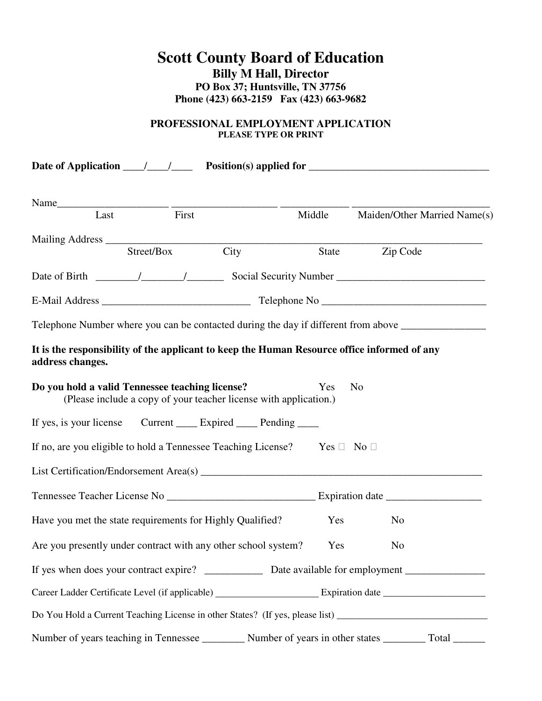# **Scott County Board of Education Billy M Hall, Director PO Box 37; Huntsville, TN 37756 Phone (423) 663-2159 Fax (423) 663-9682**

## **PROFESSIONAL EMPLOYMENT APPLICATION PLEASE TYPE OR PRINT**

|                                                 |            |                                                                                             |        | Date of Application $\frac{1}{\sqrt{1-\frac{1}{n}}}$ Position(s) applied for $\frac{1}{\sqrt{1-\frac{1}{n}}}$  |
|-------------------------------------------------|------------|---------------------------------------------------------------------------------------------|--------|----------------------------------------------------------------------------------------------------------------|
|                                                 |            |                                                                                             |        |                                                                                                                |
| Last                                            | First      |                                                                                             | Middle | Maiden/Other Married Name(s)                                                                                   |
|                                                 | Street/Box | City                                                                                        | State  | Zip Code                                                                                                       |
|                                                 |            |                                                                                             |        |                                                                                                                |
|                                                 |            |                                                                                             |        |                                                                                                                |
|                                                 |            |                                                                                             |        | Telephone Number where you can be contacted during the day if different from above _________________           |
| address changes.                                |            | It is the responsibility of the applicant to keep the Human Resource office informed of any |        |                                                                                                                |
| Do you hold a valid Tennessee teaching license? |            | (Please include a copy of your teacher license with application.)                           | Yes    | N <sub>o</sub>                                                                                                 |
|                                                 |            | If yes, is your license Current _______ Expired _______ Pending ______                      |        |                                                                                                                |
|                                                 |            | If no, are you eligible to hold a Tennessee Teaching License? Yes                           |        | N <sub>0</sub>                                                                                                 |
|                                                 |            |                                                                                             |        |                                                                                                                |
|                                                 |            |                                                                                             |        |                                                                                                                |
|                                                 |            | Have you met the state requirements for Highly Qualified?                                   | Yes    | N <sub>0</sub>                                                                                                 |
|                                                 |            | Are you presently under contract with any other school system?                              | Yes    | N <sub>o</sub>                                                                                                 |
|                                                 |            |                                                                                             |        |                                                                                                                |
|                                                 |            |                                                                                             |        |                                                                                                                |
|                                                 |            |                                                                                             |        | Do You Hold a Current Teaching License in other States? (If yes, please list) ________________________________ |
|                                                 |            |                                                                                             |        | Number of years teaching in Tennessee ___________ Number of years in other states _________ Total ________     |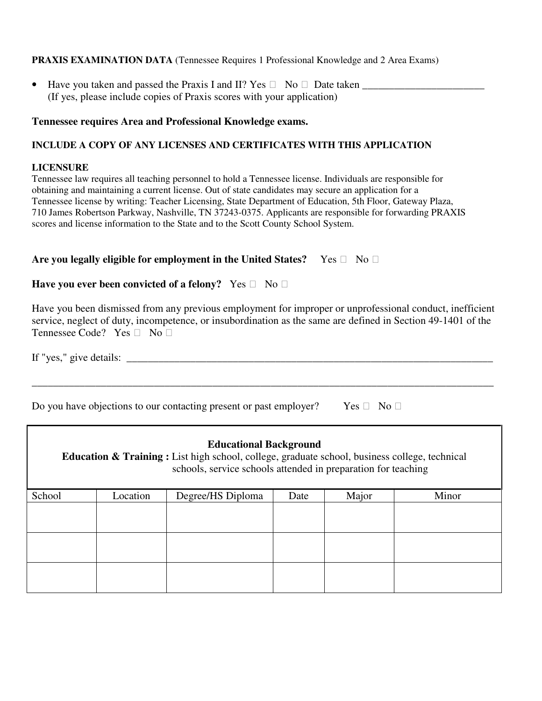### **PRAXIS EXAMINATION DATA** (Tennessee Requires 1 Professional Knowledge and 2 Area Exams)

• Have you taken and passed the Praxis I and II? Yes No Date taken (If yes, please include copies of Praxis scores with your application)

#### **Tennessee requires Area and Professional Knowledge exams.**

#### **INCLUDE A COPY OF ANY LICENSES AND CERTIFICATES WITH THIS APPLICATION**

#### **LICENSURE**

Г

Tennessee law requires all teaching personnel to hold a Tennessee license. Individuals are responsible for obtaining and maintaining a current license. Out of state candidates may secure an application for a Tennessee license by writing: Teacher Licensing, State Department of Education, 5th Floor, Gateway Plaza, 710 James Robertson Parkway, Nashville, TN 37243-0375. Applicants are responsible for forwarding PRAXIS scores and license information to the State and to the Scott County School System.

#### **Are you legally eligible for employment in the United States?** Yes No

## **Have you ever been convicted of a felony?** Yes No

Have you been dismissed from any previous employment for improper or unprofessional conduct, inefficient service, neglect of duty, incompetence, or insubordination as the same are defined in Section 49-1401 of the Tennessee Code? Yes No

If "yes," give details: \_\_\_\_\_\_\_\_\_\_\_\_\_\_\_\_\_\_\_\_\_\_\_\_\_\_\_\_\_\_\_\_\_\_\_\_\_\_\_\_\_\_\_\_\_\_\_\_\_\_\_\_\_\_\_\_\_\_\_\_\_\_\_\_\_\_\_\_\_

\_\_\_\_\_\_\_\_\_\_\_\_\_\_\_\_\_\_\_\_\_\_\_\_\_\_\_\_\_\_\_\_\_\_\_\_\_\_\_\_\_\_\_\_\_\_\_\_\_\_\_\_\_\_\_\_\_\_\_\_\_\_\_\_\_\_\_\_\_\_\_\_\_\_\_\_\_\_\_\_\_\_\_\_\_\_\_

Do you have objections to our contacting present or past employer? Yes No

| <b>Educational Background</b><br>Education & Training : List high school, college, graduate school, business college, technical<br>schools, service schools attended in preparation for teaching |          |                   |      |       |       |
|--------------------------------------------------------------------------------------------------------------------------------------------------------------------------------------------------|----------|-------------------|------|-------|-------|
| School                                                                                                                                                                                           | Location | Degree/HS Diploma | Date | Major | Minor |
|                                                                                                                                                                                                  |          |                   |      |       |       |
|                                                                                                                                                                                                  |          |                   |      |       |       |
|                                                                                                                                                                                                  |          |                   |      |       |       |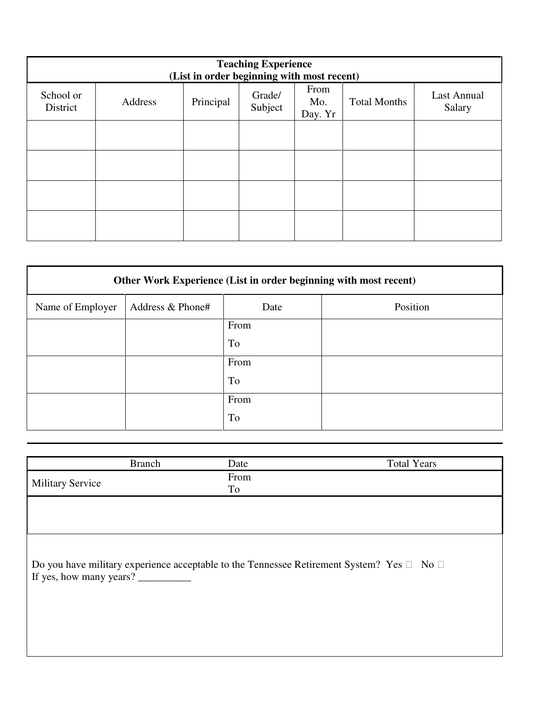| <b>Teaching Experience</b><br>(List in order beginning with most recent) |         |           |                   |                        |                     |                       |
|--------------------------------------------------------------------------|---------|-----------|-------------------|------------------------|---------------------|-----------------------|
| School or<br>District                                                    | Address | Principal | Grade/<br>Subject | From<br>Mo.<br>Day. Yr | <b>Total Months</b> | Last Annual<br>Salary |
|                                                                          |         |           |                   |                        |                     |                       |
|                                                                          |         |           |                   |                        |                     |                       |
|                                                                          |         |           |                   |                        |                     |                       |
|                                                                          |         |           |                   |                        |                     |                       |

| Other Work Experience (List in order beginning with most recent) |                  |           |          |  |
|------------------------------------------------------------------|------------------|-----------|----------|--|
| Name of Employer                                                 | Address & Phone# | Date      | Position |  |
|                                                                  |                  | From      |          |  |
|                                                                  |                  | To        |          |  |
|                                                                  |                  | From      |          |  |
|                                                                  |                  | To        |          |  |
|                                                                  |                  | From      |          |  |
|                                                                  |                  | <b>To</b> |          |  |

| <b>Branch</b>                                                                                                 | Date       | <b>Total Years</b> |
|---------------------------------------------------------------------------------------------------------------|------------|--------------------|
| <b>Military Service</b>                                                                                       | From<br>To |                    |
|                                                                                                               |            |                    |
|                                                                                                               |            |                    |
| Do you have military experience acceptable to the Tennessee Retirement System? Yes<br>If yes, how many years? |            | N <sub>o</sub>     |